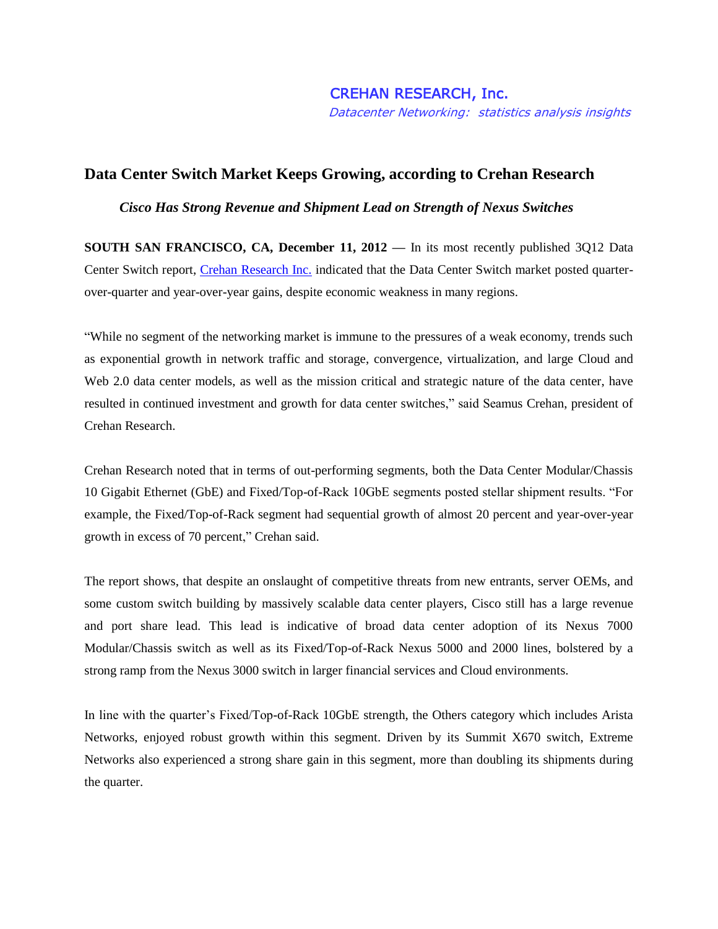## **Data Center Switch Market Keeps Growing, according to Crehan Research**

 *Cisco Has Strong Revenue and Shipment Lead on Strength of Nexus Switches*

**SOUTH SAN FRANCISCO, CA, December 11, 2012 —** In its most recently published 3Q12 Data Center Switch report, [Crehan Research](http://www.crehanresearch.com/) Inc. indicated that the Data Center Switch market posted quarterover-quarter and year-over-year gains, despite economic weakness in many regions.

"While no segment of the networking market is immune to the pressures of a weak economy, trends such as exponential growth in network traffic and storage, convergence, virtualization, and large Cloud and Web 2.0 data center models, as well as the mission critical and strategic nature of the data center, have resulted in continued investment and growth for data center switches," said Seamus Crehan, president of Crehan Research.

Crehan Research noted that in terms of out-performing segments, both the Data Center Modular/Chassis 10 Gigabit Ethernet (GbE) and Fixed/Top-of-Rack 10GbE segments posted stellar shipment results. "For example, the Fixed/Top-of-Rack segment had sequential growth of almost 20 percent and year-over-year growth in excess of 70 percent," Crehan said.

The report shows, that despite an onslaught of competitive threats from new entrants, server OEMs, and some custom switch building by massively scalable data center players, Cisco still has a large revenue and port share lead. This lead is indicative of broad data center adoption of its Nexus 7000 Modular/Chassis switch as well as its Fixed/Top-of-Rack Nexus 5000 and 2000 lines, bolstered by a strong ramp from the Nexus 3000 switch in larger financial services and Cloud environments.

In line with the quarter's Fixed/Top-of-Rack 10GbE strength, the Others category which includes Arista Networks, enjoyed robust growth within this segment. Driven by its Summit X670 switch, Extreme Networks also experienced a strong share gain in this segment, more than doubling its shipments during the quarter.